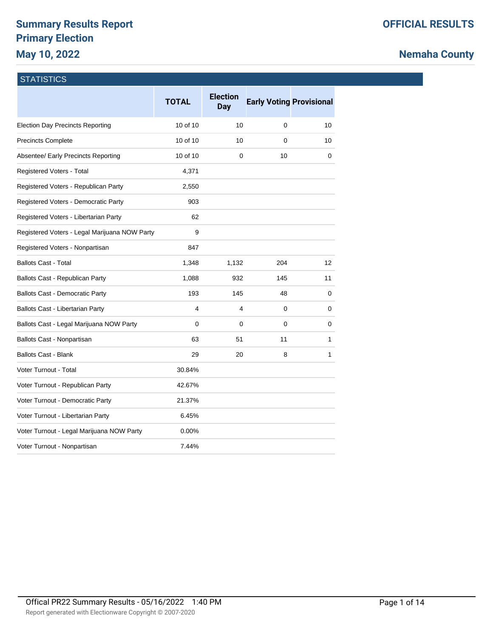# **Summary Results Report Primary Election May 10, 2022**

# **Nemaha County**

### **STATISTICS**

|                                               | <b>TOTAL</b> | <b>Election</b><br><b>Day</b> | <b>Early Voting Provisional</b> |                   |
|-----------------------------------------------|--------------|-------------------------------|---------------------------------|-------------------|
| <b>Election Day Precincts Reporting</b>       | 10 of 10     | 10                            | 0                               | 10                |
| <b>Precincts Complete</b>                     | 10 of 10     | 10                            | 0                               | 10                |
| Absentee/ Early Precincts Reporting           | 10 of 10     | 0                             | 10                              | 0                 |
| Registered Voters - Total                     | 4,371        |                               |                                 |                   |
| Registered Voters - Republican Party          | 2,550        |                               |                                 |                   |
| Registered Voters - Democratic Party          | 903          |                               |                                 |                   |
| Registered Voters - Libertarian Party         | 62           |                               |                                 |                   |
| Registered Voters - Legal Marijuana NOW Party | 9            |                               |                                 |                   |
| Registered Voters - Nonpartisan               | 847          |                               |                                 |                   |
| <b>Ballots Cast - Total</b>                   | 1,348        | 1,132                         | 204                             | $12 \overline{ }$ |
| Ballots Cast - Republican Party               | 1,088        | 932                           | 145                             | 11                |
| <b>Ballots Cast - Democratic Party</b>        | 193          | 145                           | 48                              | 0                 |
| Ballots Cast - Libertarian Party              | 4            | 4                             | 0                               | 0                 |
| Ballots Cast - Legal Marijuana NOW Party      | 0            | 0                             | 0                               | 0                 |
| Ballots Cast - Nonpartisan                    | 63           | 51                            | 11                              | 1                 |
| <b>Ballots Cast - Blank</b>                   | 29           | 20                            | 8                               | 1                 |
| Voter Turnout - Total                         | 30.84%       |                               |                                 |                   |
| Voter Turnout - Republican Party              | 42.67%       |                               |                                 |                   |
| Voter Turnout - Democratic Party              | 21.37%       |                               |                                 |                   |
| Voter Turnout - Libertarian Party             | 6.45%        |                               |                                 |                   |
| Voter Turnout - Legal Marijuana NOW Party     | $0.00\%$     |                               |                                 |                   |
| Voter Turnout - Nonpartisan                   | 7.44%        |                               |                                 |                   |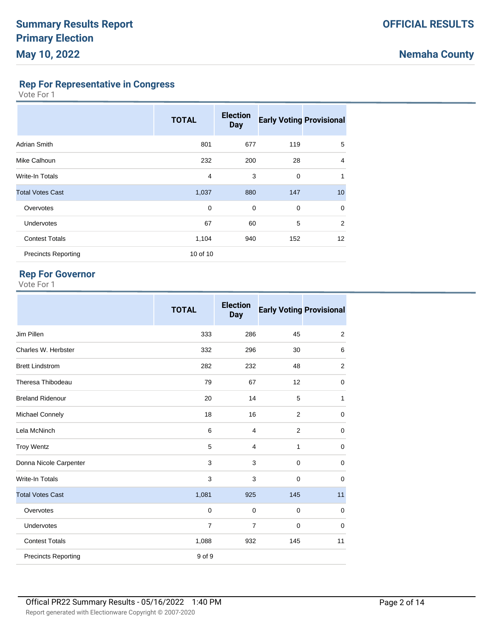**Rep For Representative in Congress**

Vote For 1

|                            | <b>TOTAL</b> | <b>Election</b><br><b>Day</b> | <b>Early Voting Provisional</b> |                   |
|----------------------------|--------------|-------------------------------|---------------------------------|-------------------|
| <b>Adrian Smith</b>        | 801          | 677                           | 119                             | 5                 |
| Mike Calhoun               | 232          | 200                           | 28                              | $\overline{4}$    |
| <b>Write-In Totals</b>     | 4            | 3                             | 0                               | 1                 |
| <b>Total Votes Cast</b>    | 1,037        | 880                           | 147                             | 10                |
| Overvotes                  | 0            | $\mathbf 0$                   | 0                               | $\mathbf 0$       |
| <b>Undervotes</b>          | 67           | 60                            | 5                               | 2                 |
| <b>Contest Totals</b>      | 1,104        | 940                           | 152                             | $12 \overline{ }$ |
| <b>Precincts Reporting</b> | 10 of 10     |                               |                                 |                   |

### **Rep For Governor**

|                            | <b>TOTAL</b>   | <b>Election</b><br><b>Day</b> | <b>Early Voting Provisional</b> |             |
|----------------------------|----------------|-------------------------------|---------------------------------|-------------|
| Jim Pillen                 | 333            | 286                           | 45                              | 2           |
| Charles W. Herbster        | 332            | 296                           | 30                              | 6           |
| <b>Brett Lindstrom</b>     | 282            | 232                           | 48                              | 2           |
| Theresa Thibodeau          | 79             | 67                            | 12                              | $\mathbf 0$ |
| <b>Breland Ridenour</b>    | 20             | 14                            | 5                               | 1           |
| Michael Connely            | 18             | 16                            | $\overline{2}$                  | 0           |
| Lela McNinch               | 6              | 4                             | $\overline{2}$                  | 0           |
| <b>Troy Wentz</b>          | 5              | 4                             | $\mathbf{1}$                    | $\mathbf 0$ |
| Donna Nicole Carpenter     | 3              | 3                             | $\mathbf 0$                     | $\mathbf 0$ |
| <b>Write-In Totals</b>     | 3              | 3                             | $\mathbf 0$                     | 0           |
| <b>Total Votes Cast</b>    | 1,081          | 925                           | 145                             | 11          |
| Overvotes                  | 0              | 0                             | $\mathbf 0$                     | $\mathbf 0$ |
| <b>Undervotes</b>          | $\overline{7}$ | $\overline{7}$                | $\mathbf 0$                     | $\mathbf 0$ |
| <b>Contest Totals</b>      | 1,088          | 932                           | 145                             | 11          |
| <b>Precincts Reporting</b> | 9 of 9         |                               |                                 |             |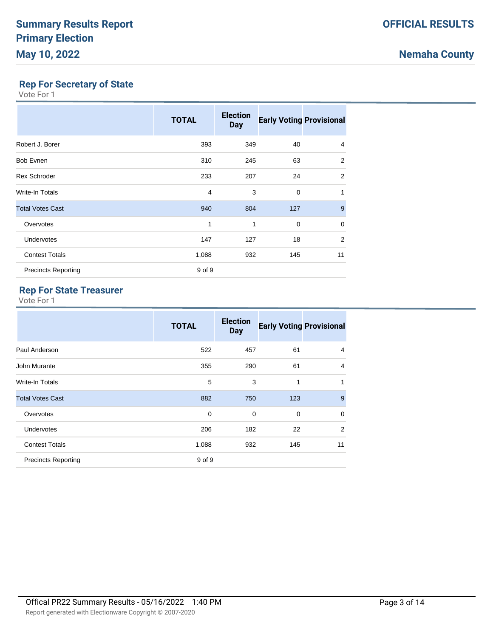## **Rep For Secretary of State**

Vote For 1

|                            | <b>TOTAL</b> | <b>Election</b><br><b>Day</b> | <b>Early Voting Provisional</b> |                |
|----------------------------|--------------|-------------------------------|---------------------------------|----------------|
| Robert J. Borer            | 393          | 349                           | 40                              | 4              |
| Bob Evnen                  | 310          | 245                           | 63                              | 2              |
| <b>Rex Schroder</b>        | 233          | 207                           | 24                              | $\overline{2}$ |
| Write-In Totals            | 4            | 3                             | $\mathbf 0$                     | 1              |
| <b>Total Votes Cast</b>    | 940          | 804                           | 127                             | 9              |
| Overvotes                  | 1            | 1                             | 0                               | $\mathbf 0$    |
| Undervotes                 | 147          | 127                           | 18                              | 2              |
| <b>Contest Totals</b>      | 1,088        | 932                           | 145                             | 11             |
| <b>Precincts Reporting</b> | 9 of 9       |                               |                                 |                |

# **Rep For State Treasurer**

|                            | <b>TOTAL</b> | <b>Election</b><br><b>Day</b> | <b>Early Voting Provisional</b> |                |
|----------------------------|--------------|-------------------------------|---------------------------------|----------------|
| Paul Anderson              | 522          | 457                           | 61                              | $\overline{4}$ |
| John Murante               | 355          | 290                           | 61                              | $\overline{4}$ |
| Write-In Totals            | 5            | 3                             | 1                               | 1              |
| <b>Total Votes Cast</b>    | 882          | 750                           | 123                             | 9              |
| Overvotes                  | 0            | 0                             | $\mathbf 0$                     | $\mathbf 0$    |
| <b>Undervotes</b>          | 206          | 182                           | 22                              | 2              |
| <b>Contest Totals</b>      | 1,088        | 932                           | 145                             | 11             |
| <b>Precincts Reporting</b> | 9 of 9       |                               |                                 |                |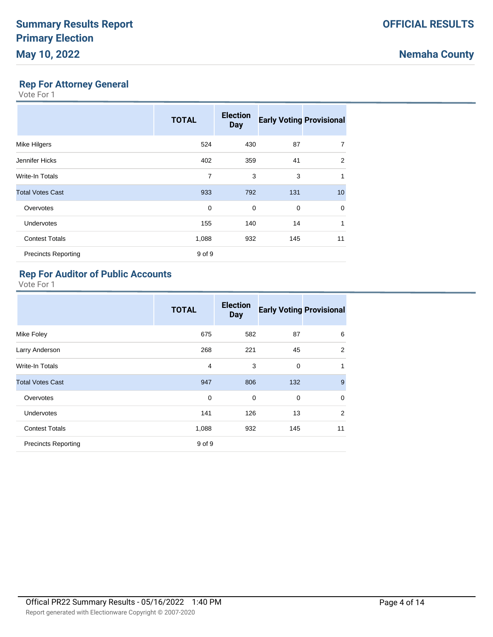### **Rep For Attorney General**

Vote For 1

|                            | <b>TOTAL</b> | <b>Election</b><br><b>Day</b> | <b>Early Voting Provisional</b> |    |
|----------------------------|--------------|-------------------------------|---------------------------------|----|
| Mike Hilgers               | 524          | 430                           | 87                              | 7  |
| Jennifer Hicks             | 402          | 359                           | 41                              | 2  |
| Write-In Totals            | 7            | 3                             | 3                               | 1  |
| <b>Total Votes Cast</b>    | 933          | 792                           | 131                             | 10 |
| Overvotes                  | 0            | 0                             | $\mathbf 0$                     | 0  |
| <b>Undervotes</b>          | 155          | 140                           | 14                              | 1  |
| <b>Contest Totals</b>      | 1,088        | 932                           | 145                             | 11 |
| <b>Precincts Reporting</b> | 9 of 9       |                               |                                 |    |

### **Rep For Auditor of Public Accounts**

|                            | <b>TOTAL</b> | <b>Election</b><br><b>Day</b> | <b>Early Voting Provisional</b> |              |
|----------------------------|--------------|-------------------------------|---------------------------------|--------------|
| Mike Foley                 | 675          | 582                           | 87                              | 6            |
| Larry Anderson             | 268          | 221                           | 45                              | 2            |
| Write-In Totals            | 4            | 3                             | $\mathbf 0$                     | $\mathbf{1}$ |
| <b>Total Votes Cast</b>    | 947          | 806                           | 132                             | 9            |
| Overvotes                  | $\mathbf 0$  | 0                             | 0                               | $\mathbf 0$  |
| <b>Undervotes</b>          | 141          | 126                           | 13                              | 2            |
| <b>Contest Totals</b>      | 1,088        | 932                           | 145                             | 11           |
| <b>Precincts Reporting</b> | 9 of 9       |                               |                                 |              |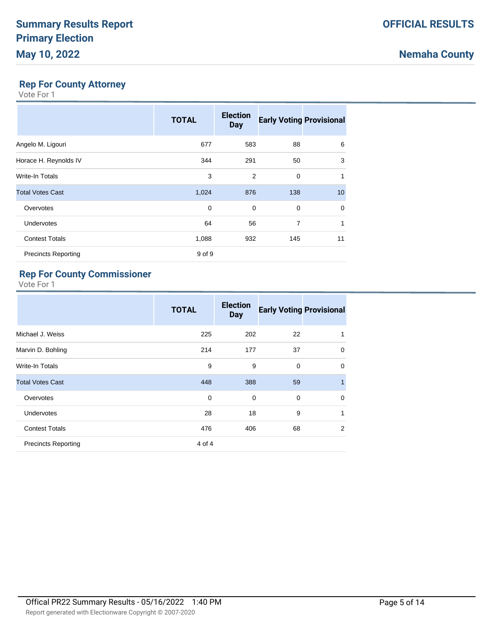# **Nemaha County**

### **Rep For County Attorney**

Vote For 1

|                            | <b>TOTAL</b> | <b>Election</b><br><b>Day</b> | <b>Early Voting Provisional</b> |          |
|----------------------------|--------------|-------------------------------|---------------------------------|----------|
| Angelo M. Ligouri          | 677          | 583                           | 88                              | 6        |
| Horace H. Reynolds IV      | 344          | 291                           | 50                              | 3        |
| Write-In Totals            | 3            | 2                             | 0                               | 1        |
| <b>Total Votes Cast</b>    | 1,024        | 876                           | 138                             | 10       |
| Overvotes                  | 0            | $\Omega$                      | $\Omega$                        | $\Omega$ |
| <b>Undervotes</b>          | 64           | 56                            | $\overline{7}$                  | 1        |
| <b>Contest Totals</b>      | 1,088        | 932                           | 145                             | 11       |
| <b>Precincts Reporting</b> | 9 of 9       |                               |                                 |          |

## **Rep For County Commissioner**

|                            | <b>TOTAL</b> | <b>Election</b><br><b>Day</b> | <b>Early Voting Provisional</b> |                |
|----------------------------|--------------|-------------------------------|---------------------------------|----------------|
| Michael J. Weiss           | 225          | 202                           | 22                              | 1              |
| Marvin D. Bohling          | 214          | 177                           | 37                              | $\mathbf 0$    |
| Write-In Totals            | 9            | 9                             | $\Omega$                        | $\mathbf 0$    |
| <b>Total Votes Cast</b>    | 448          | 388                           | 59                              | $\overline{1}$ |
| Overvotes                  | $\Omega$     | $\Omega$                      | $\Omega$                        | $\mathbf 0$    |
| <b>Undervotes</b>          | 28           | 18                            | 9                               | 1              |
| <b>Contest Totals</b>      | 476          | 406                           | 68                              | 2              |
| <b>Precincts Reporting</b> | 4 of 4       |                               |                                 |                |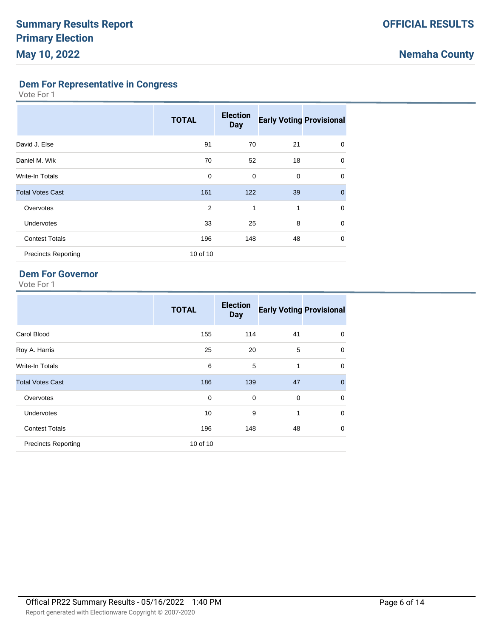**Dem For Representative in Congress**

Vote For 1

|                            | <b>TOTAL</b> | <b>Election</b><br><b>Day</b> | <b>Early Voting Provisional</b> |                |
|----------------------------|--------------|-------------------------------|---------------------------------|----------------|
| David J. Else              | 91           | 70                            | 21                              | 0              |
| Daniel M. Wik              | 70           | 52                            | 18                              | 0              |
| Write-In Totals            | 0            | $\mathbf 0$                   | 0                               | $\mathbf 0$    |
| <b>Total Votes Cast</b>    | 161          | 122                           | 39                              | $\overline{0}$ |
| Overvotes                  | 2            | 1                             | 1                               | $\mathbf 0$    |
| <b>Undervotes</b>          | 33           | 25                            | 8                               | 0              |
| <b>Contest Totals</b>      | 196          | 148                           | 48                              | 0              |
| <b>Precincts Reporting</b> | 10 of 10     |                               |                                 |                |

### **Dem For Governor**

|                            | <b>TOTAL</b> | <b>Election</b><br><b>Day</b> | <b>Early Voting Provisional</b> |             |
|----------------------------|--------------|-------------------------------|---------------------------------|-------------|
| Carol Blood                | 155          | 114                           | 41                              | 0           |
| Roy A. Harris              | 25           | 20                            | 5                               | $\mathbf 0$ |
| Write-In Totals            | 6            | 5                             | 1                               | $\mathbf 0$ |
| <b>Total Votes Cast</b>    | 186          | 139                           | 47                              | $\mathbf 0$ |
| Overvotes                  | 0            | $\mathbf 0$                   | $\mathbf 0$                     | $\mathbf 0$ |
| <b>Undervotes</b>          | 10           | 9                             | 1                               | $\mathbf 0$ |
| <b>Contest Totals</b>      | 196          | 148                           | 48                              | 0           |
| <b>Precincts Reporting</b> | 10 of 10     |                               |                                 |             |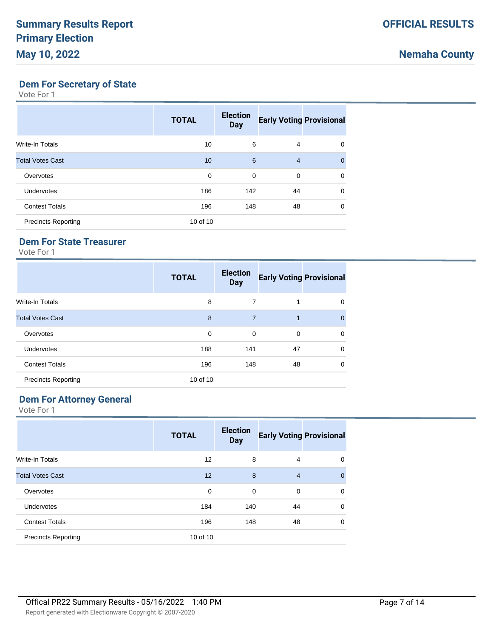## **Dem For Secretary of State**

Vote For 1

|                            | <b>TOTAL</b> | <b>Election</b><br><b>Day</b> | <b>Early Voting Provisional</b> |              |
|----------------------------|--------------|-------------------------------|---------------------------------|--------------|
| Write-In Totals            | 10           | 6                             | 4                               | 0            |
| <b>Total Votes Cast</b>    | 10           | 6                             | $\overline{4}$                  | $\mathbf{0}$ |
| Overvotes                  | 0            | 0                             | 0                               | 0            |
| <b>Undervotes</b>          | 186          | 142                           | 44                              | $\mathbf 0$  |
| <b>Contest Totals</b>      | 196          | 148                           | 48                              | 0            |
| <b>Precincts Reporting</b> | 10 of 10     |                               |                                 |              |

### **Dem For State Treasurer**

Vote For 1

|                            | <b>TOTAL</b> | <b>Election</b><br><b>Day</b> | <b>Early Voting Provisional</b> |          |
|----------------------------|--------------|-------------------------------|---------------------------------|----------|
| Write-In Totals            | 8            | 7                             | 1                               | 0        |
| <b>Total Votes Cast</b>    | 8            | $\overline{7}$                | 1                               | $\Omega$ |
| Overvotes                  | 0            | $\mathbf 0$                   | $\mathbf 0$                     | $\Omega$ |
| <b>Undervotes</b>          | 188          | 141                           | 47                              | $\Omega$ |
| <b>Contest Totals</b>      | 196          | 148                           | 48                              | $\Omega$ |
| <b>Precincts Reporting</b> | 10 of 10     |                               |                                 |          |

# **Dem For Attorney General**

|                            | <b>TOTAL</b>      | <b>Election</b><br><b>Day</b> | <b>Early Voting Provisional</b> |              |
|----------------------------|-------------------|-------------------------------|---------------------------------|--------------|
| Write-In Totals            | $12 \overline{ }$ | 8                             | 4                               | 0            |
| <b>Total Votes Cast</b>    | 12 <sup>2</sup>   | 8                             | $\overline{4}$                  | $\mathbf{0}$ |
| Overvotes                  | 0                 | 0                             | 0                               | $\Omega$     |
| <b>Undervotes</b>          | 184               | 140                           | 44                              | $\mathbf 0$  |
| <b>Contest Totals</b>      | 196               | 148                           | 48                              | $\Omega$     |
| <b>Precincts Reporting</b> | 10 of 10          |                               |                                 |              |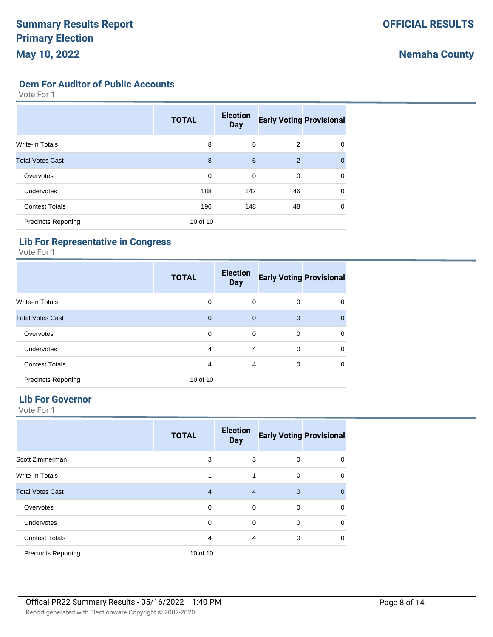**Dem For Auditor of Public Accounts**

Vote For 1

|                            | <b>TOTAL</b> | <b>Election</b><br><b>Day</b> | <b>Early Voting Provisional</b> |             |
|----------------------------|--------------|-------------------------------|---------------------------------|-------------|
| Write-In Totals            | 8            | 6                             | 2                               | 0           |
| <b>Total Votes Cast</b>    | 8            | 6                             | 2                               | $\Omega$    |
| Overvotes                  | $\mathbf 0$  | 0                             | 0                               | 0           |
| <b>Undervotes</b>          | 188          | 142                           | 46                              | $\mathbf 0$ |
| <b>Contest Totals</b>      | 196          | 148                           | 48                              | $\Omega$    |
| <b>Precincts Reporting</b> | 10 of 10     |                               |                                 |             |

### **Lib For Representative in Congress**

Vote For 1

|                            | <b>TOTAL</b>   | <b>Election</b><br><b>Day</b> | <b>Early Voting Provisional</b> |          |
|----------------------------|----------------|-------------------------------|---------------------------------|----------|
| <b>Write-In Totals</b>     | $\mathbf 0$    | 0                             | 0                               | 0        |
| <b>Total Votes Cast</b>    | $\overline{0}$ | $\mathbf{0}$                  | $\overline{0}$                  | $\Omega$ |
| Overvotes                  | $\mathbf 0$    | 0                             | 0                               | $\Omega$ |
| <b>Undervotes</b>          | 4              | $\overline{4}$                | $\Omega$                        | $\Omega$ |
| <b>Contest Totals</b>      | $\overline{4}$ | $\overline{4}$                | 0                               | $\Omega$ |
| <b>Precincts Reporting</b> | 10 of 10       |                               |                                 |          |

### **Lib For Governor**

|                            | <b>TOTAL</b>   | <b>Election</b><br><b>Day</b> | <b>Early Voting Provisional</b> |             |
|----------------------------|----------------|-------------------------------|---------------------------------|-------------|
| Scott Zimmerman            | 3              | 3                             | 0                               | $\Omega$    |
| <b>Write-In Totals</b>     | 1              | 1                             | $\mathbf 0$                     | $\Omega$    |
| <b>Total Votes Cast</b>    | $\overline{4}$ | $\overline{4}$                | $\overline{0}$                  | $\Omega$    |
| Overvotes                  | $\mathbf 0$    | 0                             | 0                               | $\mathbf 0$ |
| Undervotes                 | $\mathbf 0$    | 0                             | 0                               | $\Omega$    |
| <b>Contest Totals</b>      | $\overline{4}$ | 4                             | 0                               | $\Omega$    |
| <b>Precincts Reporting</b> | 10 of 10       |                               |                                 |             |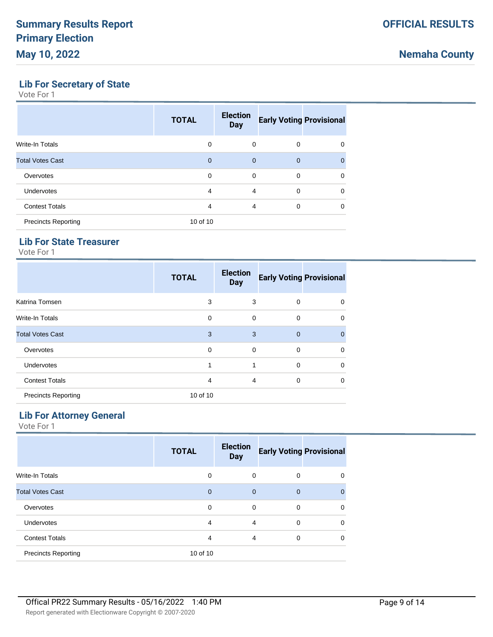# **Lib For Secretary of State**

Vote For 1

|                            | <b>TOTAL</b>   | <b>Election</b><br><b>Day</b> | <b>Early Voting Provisional</b> |             |
|----------------------------|----------------|-------------------------------|---------------------------------|-------------|
| <b>Write-In Totals</b>     | $\Omega$       | 0                             | 0                               | 0           |
| <b>Total Votes Cast</b>    | $\overline{0}$ | $\overline{0}$                | $\mathbf 0$                     | $\Omega$    |
| Overvotes                  | 0              | 0                             | 0                               | 0           |
| <b>Undervotes</b>          | 4              | $\overline{4}$                | 0                               | $\mathbf 0$ |
| <b>Contest Totals</b>      | 4              | 4                             | 0                               | 0           |
| <b>Precincts Reporting</b> | 10 of 10       |                               |                                 |             |

## **Lib For State Treasurer**

Vote For 1

|                            | <b>TOTAL</b> | <b>Election</b><br><b>Day</b> | <b>Early Voting Provisional</b> |              |
|----------------------------|--------------|-------------------------------|---------------------------------|--------------|
| Katrina Tomsen             | 3            | 3                             | 0                               | 0            |
| <b>Write-In Totals</b>     | $\mathbf 0$  | 0                             | 0                               | $\mathbf 0$  |
| <b>Total Votes Cast</b>    | 3            | 3                             | $\overline{0}$                  | $\mathbf{0}$ |
| Overvotes                  | 0            | 0                             | 0                               | $\mathbf 0$  |
| Undervotes                 | 1            | 1                             | 0                               | $\mathbf 0$  |
| <b>Contest Totals</b>      | 4            | $\overline{4}$                | 0                               | $\mathbf 0$  |
| <b>Precincts Reporting</b> | 10 of 10     |                               |                                 |              |

### **Lib For Attorney General**

| <b>TOTAL</b> | <b>Election</b><br><b>Day</b> |          |                                 |
|--------------|-------------------------------|----------|---------------------------------|
| 0            | $\Omega$                      | $\Omega$ | 0                               |
| $\Omega$     | $\Omega$                      | $\Omega$ | $\Omega$                        |
| 0            | $\Omega$                      | 0        | 0                               |
| 4            | 4                             | $\Omega$ | $\Omega$                        |
| 4            | $\overline{4}$                | 0        | 0                               |
| 10 of 10     |                               |          |                                 |
|              |                               |          | <b>Early Voting Provisional</b> |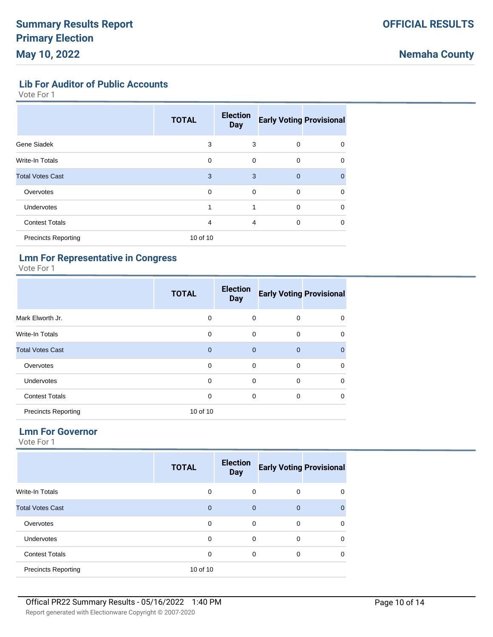### **Lib For Auditor of Public Accounts**

Vote For 1

|                            | <b>TOTAL</b> | <b>Election</b><br><b>Day</b> | <b>Early Voting Provisional</b> |             |
|----------------------------|--------------|-------------------------------|---------------------------------|-------------|
| Gene Siadek                | 3            | 3                             | $\mathbf 0$                     | $\mathbf 0$ |
| Write-In Totals            | 0            | $\mathbf 0$                   | $\mathbf 0$                     | $\mathbf 0$ |
| <b>Total Votes Cast</b>    | 3            | 3                             | $\mathbf{0}$                    | $\Omega$    |
| Overvotes                  | $\mathbf 0$  | $\mathbf 0$                   | $\mathbf 0$                     | 0           |
| <b>Undervotes</b>          | 1            | 1                             | $\mathbf 0$                     | $\Omega$    |
| <b>Contest Totals</b>      | 4            | $\overline{4}$                | $\mathbf 0$                     | $\Omega$    |
| <b>Precincts Reporting</b> | 10 of 10     |                               |                                 |             |

### **Lmn For Representative in Congress**

Vote For 1

|                            | <b>TOTAL</b> | <b>Election</b><br><b>Day</b> | <b>Early Voting Provisional</b> |              |
|----------------------------|--------------|-------------------------------|---------------------------------|--------------|
| Mark Elworth Jr.           | 0            | 0                             | 0                               | 0            |
| <b>Write-In Totals</b>     | $\mathbf 0$  | $\mathbf 0$                   | $\mathbf 0$                     | $\mathbf 0$  |
| <b>Total Votes Cast</b>    | $\mathbf{0}$ | $\mathbf{0}$                  | $\mathbf 0$                     | $\mathbf{0}$ |
| Overvotes                  | $\Omega$     | $\Omega$                      | 0                               | $\mathbf 0$  |
| Undervotes                 | $\Omega$     | 0                             | 0                               | $\mathbf 0$  |
| <b>Contest Totals</b>      | 0            | 0                             | 0                               | $\mathbf 0$  |
| <b>Precincts Reporting</b> | 10 of 10     |                               |                                 |              |

### **Lmn For Governor**

|                            | <b>TOTAL</b> | <b>Election</b><br><b>Day</b> | <b>Early Voting Provisional</b> |          |
|----------------------------|--------------|-------------------------------|---------------------------------|----------|
| Write-In Totals            | 0            | 0                             | 0                               | 0        |
| <b>Total Votes Cast</b>    | $\mathbf{0}$ | $\overline{0}$                | $\overline{0}$                  | $\Omega$ |
| Overvotes                  | 0            | 0                             | $\mathbf 0$                     | $\Omega$ |
| Undervotes                 | 0            | 0                             | $\mathbf 0$                     | $\Omega$ |
| <b>Contest Totals</b>      | 0            | $\mathbf 0$                   | 0                               | $\Omega$ |
| <b>Precincts Reporting</b> | 10 of 10     |                               |                                 |          |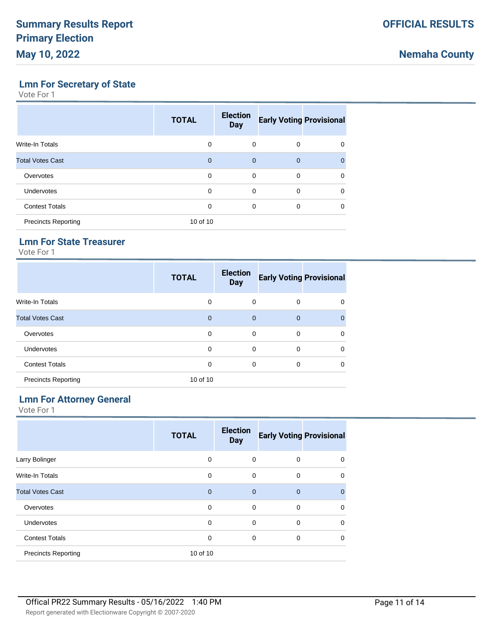## **Lmn For Secretary of State**

Vote For 1

|                            | <b>TOTAL</b> | <b>Election</b><br><b>Day</b> | <b>Early Voting Provisional</b> |          |
|----------------------------|--------------|-------------------------------|---------------------------------|----------|
| <b>Write-In Totals</b>     | $\Omega$     | $\Omega$                      | 0                               | 0        |
| <b>Total Votes Cast</b>    | $\mathbf 0$  | $\mathbf 0$                   | $\mathbf 0$                     | $\Omega$ |
| Overvotes                  | $\Omega$     | $\Omega$                      | $\Omega$                        | 0        |
| <b>Undervotes</b>          | $\Omega$     | $\Omega$                      | $\Omega$                        | $\Omega$ |
| <b>Contest Totals</b>      | $\Omega$     | $\Omega$                      | $\Omega$                        | 0        |
| <b>Precincts Reporting</b> | 10 of 10     |                               |                                 |          |

## **Lmn For State Treasurer**

Vote For 1

|                            | <b>TOTAL</b> | <b>Election</b><br><b>Day</b> | <b>Early Voting Provisional</b> |          |
|----------------------------|--------------|-------------------------------|---------------------------------|----------|
| Write-In Totals            | 0            | 0                             | 0                               | $\Omega$ |
| <b>Total Votes Cast</b>    | $\mathbf{0}$ | $\mathbf{0}$                  | $\mathbf 0$                     | $\Omega$ |
| Overvotes                  | 0            | 0                             | 0                               | $\Omega$ |
| <b>Undervotes</b>          | 0            | 0                             | $\Omega$                        | $\Omega$ |
| <b>Contest Totals</b>      | 0            | 0                             | 0                               | $\Omega$ |
| <b>Precincts Reporting</b> | 10 of 10     |                               |                                 |          |

# **Lmn For Attorney General**

|                            | <b>TOTAL</b> | <b>Election</b><br><b>Day</b> | <b>Early Voting Provisional</b> |              |
|----------------------------|--------------|-------------------------------|---------------------------------|--------------|
| Larry Bolinger             | $\mathbf 0$  | 0                             | 0                               | 0            |
| <b>Write-In Totals</b>     | 0            | 0                             | $\mathbf 0$                     | $\mathbf 0$  |
| <b>Total Votes Cast</b>    | $\mathbf{0}$ | $\mathbf{0}$                  | $\overline{0}$                  | $\mathbf{0}$ |
| Overvotes                  | $\mathbf 0$  | $\mathbf 0$                   | $\mathbf 0$                     | $\mathbf 0$  |
| Undervotes                 | 0            | 0                             | $\Omega$                        | $\mathbf 0$  |
| <b>Contest Totals</b>      | $\mathbf 0$  | 0                             | $\mathbf 0$                     | $\mathbf 0$  |
| <b>Precincts Reporting</b> | 10 of 10     |                               |                                 |              |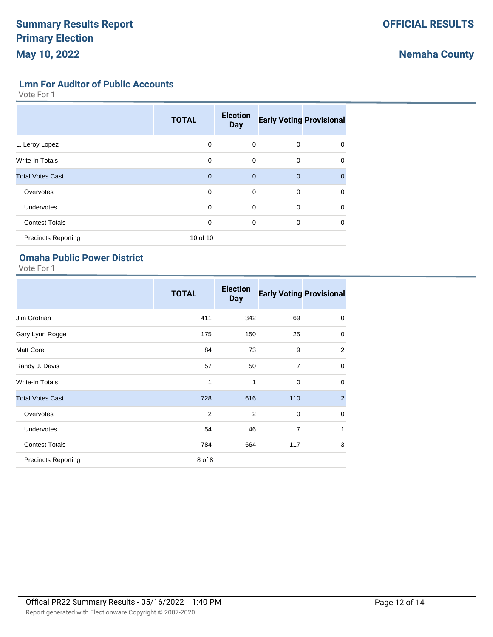**Lmn For Auditor of Public Accounts**

Vote For 1

|                            | <b>TOTAL</b> | <b>Election</b><br><b>Day</b> | <b>Early Voting Provisional</b> |          |
|----------------------------|--------------|-------------------------------|---------------------------------|----------|
| L. Leroy Lopez             | 0            | 0                             | $\mathbf 0$                     | 0        |
| <b>Write-In Totals</b>     | 0            | $\mathbf 0$                   | $\mathbf 0$                     | 0        |
| <b>Total Votes Cast</b>    | $\mathbf{0}$ | $\mathbf{0}$                  | $\mathbf{0}$                    | $\Omega$ |
| Overvotes                  | 0            | 0                             | $\Omega$                        | 0        |
| Undervotes                 | 0            | $\mathbf 0$                   | $\mathbf 0$                     | 0        |
| <b>Contest Totals</b>      | 0            | 0                             | 0                               | 0        |
| <b>Precincts Reporting</b> | 10 of 10     |                               |                                 |          |

## **Omaha Public Power District**

|                            | <b>TOTAL</b>   | <b>Election</b><br><b>Day</b> | <b>Early Voting Provisional</b> |                |
|----------------------------|----------------|-------------------------------|---------------------------------|----------------|
| Jim Grotrian               | 411            | 342                           | 69                              | 0              |
| Gary Lynn Rogge            | 175            | 150                           | 25                              | 0              |
| <b>Matt Core</b>           | 84             | 73                            | 9                               | 2              |
| Randy J. Davis             | 57             | 50                            | $\overline{7}$                  | $\mathbf 0$    |
| Write-In Totals            | 1              | 1                             | $\mathbf 0$                     | $\mathbf 0$    |
| <b>Total Votes Cast</b>    | 728            | 616                           | 110                             | $\overline{2}$ |
| Overvotes                  | $\overline{2}$ | 2                             | $\mathbf 0$                     | $\mathbf 0$    |
| Undervotes                 | 54             | 46                            | $\overline{7}$                  | 1              |
| <b>Contest Totals</b>      | 784            | 664                           | 117                             | 3              |
| <b>Precincts Reporting</b> | 8 of 8         |                               |                                 |                |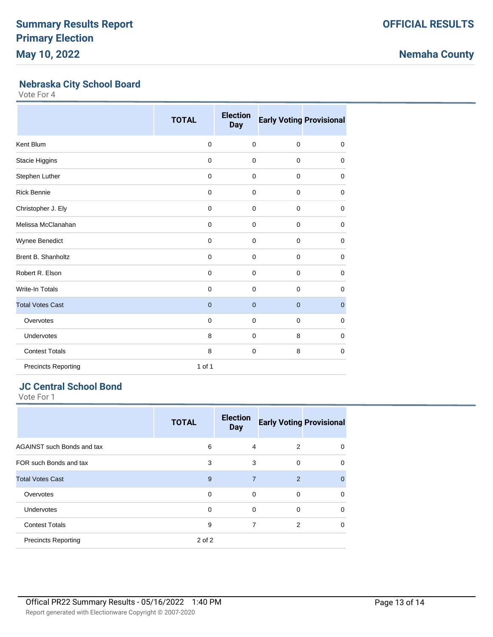# **Nemaha County**

## **Nebraska City School Board**

Vote For 4

|                            | <b>TOTAL</b> | <b>Election</b><br><b>Day</b> | <b>Early Voting Provisional</b> |             |
|----------------------------|--------------|-------------------------------|---------------------------------|-------------|
| Kent Blum                  | $\mathbf 0$  | $\mathbf 0$                   | $\mathbf 0$                     | $\mathbf 0$ |
| Stacie Higgins             | $\mathbf 0$  | $\mathbf 0$                   | $\mathbf 0$                     | $\mathbf 0$ |
| Stephen Luther             | $\mathbf 0$  | $\mathbf 0$                   | $\mathbf 0$                     | 0           |
| <b>Rick Bennie</b>         | 0            | 0                             | $\mathbf 0$                     | 0           |
| Christopher J. Ely         | 0            | 0                             | $\mathbf 0$                     | $\mathbf 0$ |
| Melissa McClanahan         | $\mathbf 0$  | $\mathbf 0$                   | $\mathbf 0$                     | $\mathbf 0$ |
| Wynee Benedict             | $\mathbf 0$  | $\mathbf 0$                   | $\mathbf 0$                     | $\mathbf 0$ |
| <b>Brent B. Shanholtz</b>  | $\mathbf 0$  | $\mathbf 0$                   | $\mathbf 0$                     | $\mathbf 0$ |
| Robert R. Elson            | $\mathbf 0$  | $\mathbf 0$                   | $\mathbf 0$                     | $\mathbf 0$ |
| <b>Write-In Totals</b>     | $\mathbf 0$  | $\mathbf 0$                   | $\mathbf 0$                     | 0           |
| <b>Total Votes Cast</b>    | $\mathbf{0}$ | $\mathbf 0$                   | $\mathbf 0$                     | $\mathbf 0$ |
| Overvotes                  | $\mathbf 0$  | $\mathbf 0$                   | $\mathbf 0$                     | $\mathbf 0$ |
| Undervotes                 | 8            | 0                             | 8                               | 0           |
| <b>Contest Totals</b>      | 8            | $\mathbf 0$                   | 8                               | $\mathbf 0$ |
| <b>Precincts Reporting</b> | 1 of 1       |                               |                                 |             |

# **JC Central School Bond**

|                            | <b>TOTAL</b> | <b>Election</b><br><b>Day</b> | <b>Early Voting Provisional</b> |          |
|----------------------------|--------------|-------------------------------|---------------------------------|----------|
| AGAINST such Bonds and tax | 6            | 4                             | 2                               | $\Omega$ |
| FOR such Bonds and tax     | 3            | 3                             | $\Omega$                        | $\Omega$ |
| <b>Total Votes Cast</b>    | 9            | $\overline{7}$                | $\overline{2}$                  | $\Omega$ |
| Overvotes                  | $\Omega$     | $\Omega$                      | $\Omega$                        | $\Omega$ |
| <b>Undervotes</b>          | $\Omega$     | $\Omega$                      | $\Omega$                        | $\Omega$ |
| <b>Contest Totals</b>      | 9            | 7                             | $\overline{2}$                  | $\Omega$ |
| <b>Precincts Reporting</b> | 2 of 2       |                               |                                 |          |